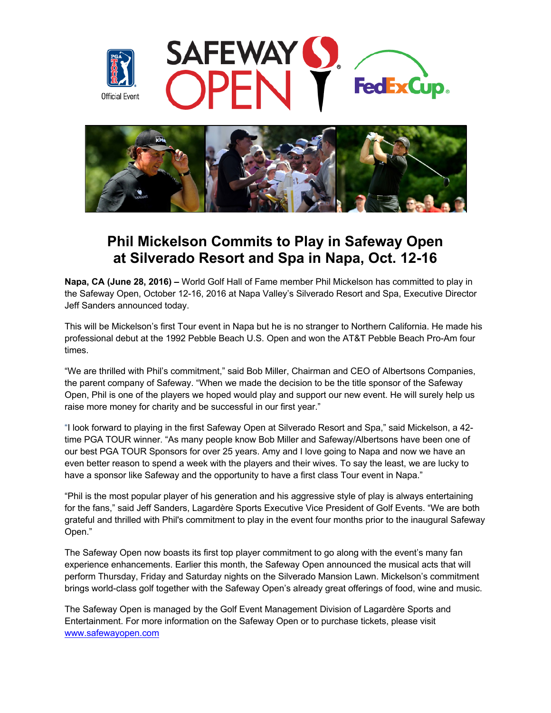





# **Phil Mickelson Commits to Play in Safeway Open at Silverado Resort and Spa in Napa, Oct. 12-16**

**Napa, CA (June 28, 2016) –** World Golf Hall of Fame member Phil Mickelson has committed to play in the Safeway Open, October 12-16, 2016 at Napa Valley's Silverado Resort and Spa, Executive Director Jeff Sanders announced today.

This will be Mickelson's first Tour event in Napa but he is no stranger to Northern California. He made his professional debut at the 1992 Pebble Beach U.S. Open and won the AT&T Pebble Beach Pro-Am four times.

"We are thrilled with Phil's commitment," said Bob Miller, Chairman and CEO of Albertsons Companies, the parent company of Safeway. "When we made the decision to be the title sponsor of the Safeway Open, Phil is one of the players we hoped would play and support our new event. He will surely help us raise more money for charity and be successful in our first year."

"I look forward to playing in the first Safeway Open at Silverado Resort and Spa," said Mickelson, a 42 time PGA TOUR winner. "As many people know Bob Miller and Safeway/Albertsons have been one of our best PGA TOUR Sponsors for over 25 years. Amy and I love going to Napa and now we have an even better reason to spend a week with the players and their wives. To say the least, we are lucky to have a sponsor like Safeway and the opportunity to have a first class Tour event in Napa."

"Phil is the most popular player of his generation and his aggressive style of play is always entertaining for the fans," said Jeff Sanders, Lagardère Sports Executive Vice President of Golf Events. "We are both grateful and thrilled with Phil's commitment to play in the event four months prior to the inaugural Safeway Open."

The Safeway Open now boasts its first top player commitment to go along with the event's many fan experience enhancements. Earlier this month, the Safeway Open announced the musical acts that will perform Thursday, Friday and Saturday nights on the Silverado Mansion Lawn. Mickelson's commitment brings world-class golf together with the Safeway Open's already great offerings of food, wine and music.

The Safeway Open is managed by the Golf Event Management Division of Lagardère Sports and Entertainment. For more information on the Safeway Open or to purchase tickets, please visit www.safewayopen.com